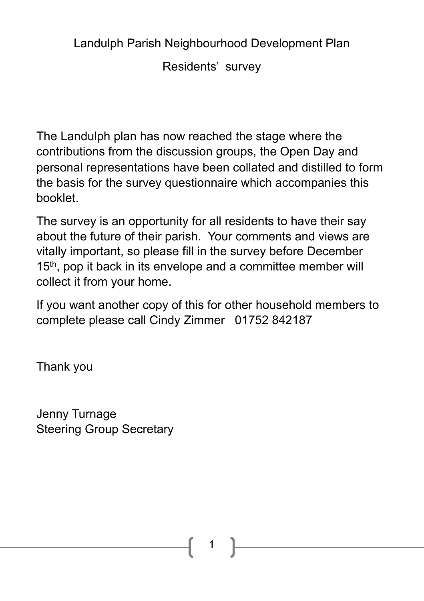Landulph Parish Neighbourhood Development Plan

Residents' survey

The Landulph plan has now reached the stage where the contributions from the discussion groups, the Open Day and personal representations have been collated and distilled to form the basis for the survey questionnaire which accompanies this booklet.

The survey is an opportunity for all residents to have their say about the future of their parish. Your comments and views are vitally important, so please fill in the survey before December 15<sup>th</sup>, pop it back in its envelope and a committee member will collect it from your home.

If you want another copy of this for other household members to complete please call Cindy Zimmer 01752 842187

Thank you

Jenny Turnage Steering Group Secretary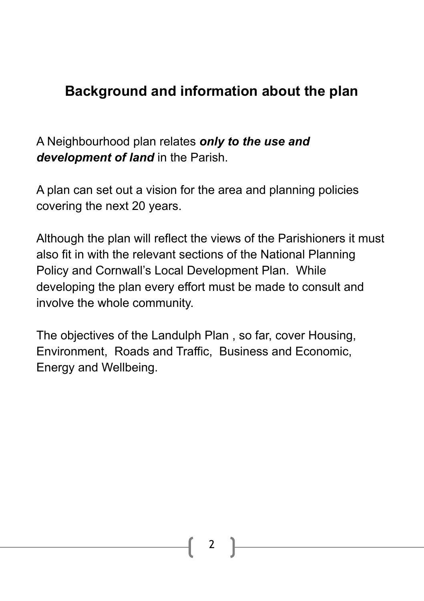## **Background and information about the plan**

A Neighbourhood plan relates *only to the use and development of land* in the Parish.

A plan can set out a vision for the area and planning policies covering the next 20 years.

Although the plan will reflect the views of the Parishioners it must also fit in with the relevant sections of the National Planning Policy and Cornwall's Local Development Plan. While developing the plan every effort must be made to consult and involve the whole community.

The objectives of the Landulph Plan , so far, cover Housing, Environment, Roads and Traffic, Business and Economic, Energy and Wellbeing.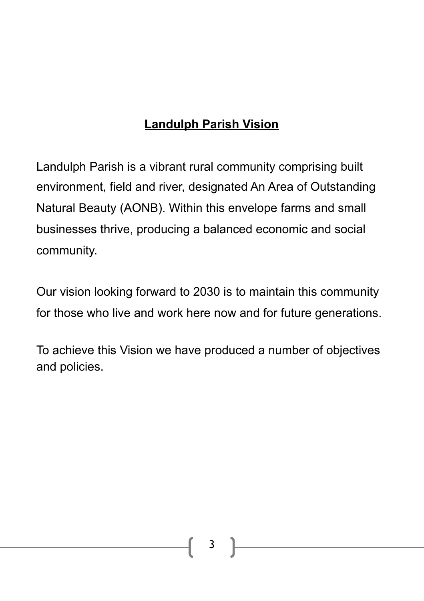## **Landulph Parish Vision**

Landulph Parish is a vibrant rural community comprising built environment, field and river, designated An Area of Outstanding Natural Beauty (AONB). Within this envelope farms and small businesses thrive, producing a balanced economic and social community.

Our vision looking forward to 2030 is to maintain this community for those who live and work here now and for future generations.

To achieve this Vision we have produced a number of objectives and policies.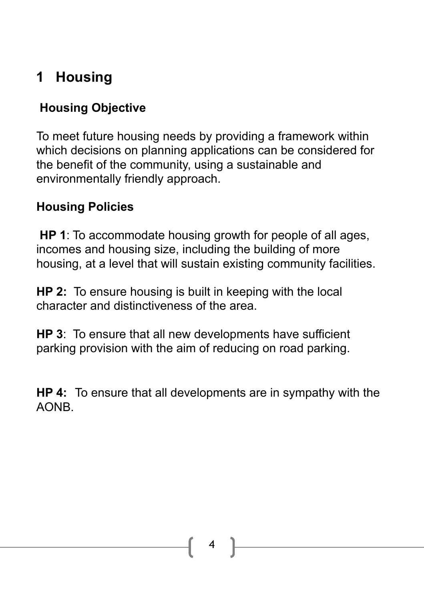# **1 Housing**

### **Housing Objective**

To meet future housing needs by providing a framework within which decisions on planning applications can be considered for the benefit of the community, using a sustainable and environmentally friendly approach.

#### **Housing Policies**

**HP 1**: To accommodate housing growth for people of all ages, incomes and housing size, including the building of more housing, at a level that will sustain existing community facilities.

**HP 2:** To ensure housing is built in keeping with the local character and distinctiveness of the area.

**HP 3**: To ensure that all new developments have sufficient parking provision with the aim of reducing on road parking.

**HP 4:** To ensure that all developments are in sympathy with the AONB.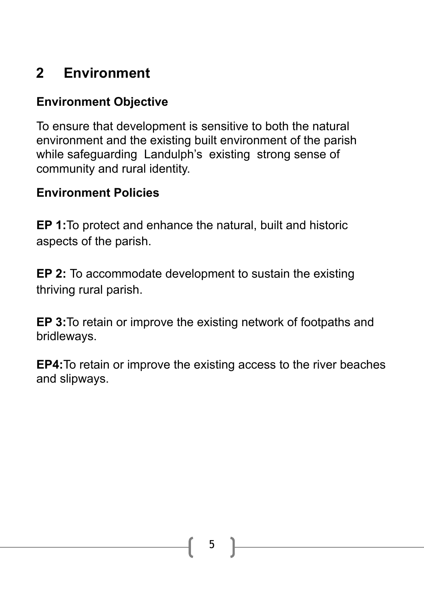# **2 Environment**

#### **Environment Objective**

To ensure that development is sensitive to both the natural environment and the existing built environment of the parish while safeguarding Landulph's existing strong sense of community and rural identity.

#### **Environment Policies**

**EP 1:**To protect and enhance the natural, built and historic aspects of the parish.

**EP 2:** To accommodate development to sustain the existing thriving rural parish.

**EP 3:**To retain or improve the existing network of footpaths and bridleways.

**EP4:**To retain or improve the existing access to the river beaches and slipways.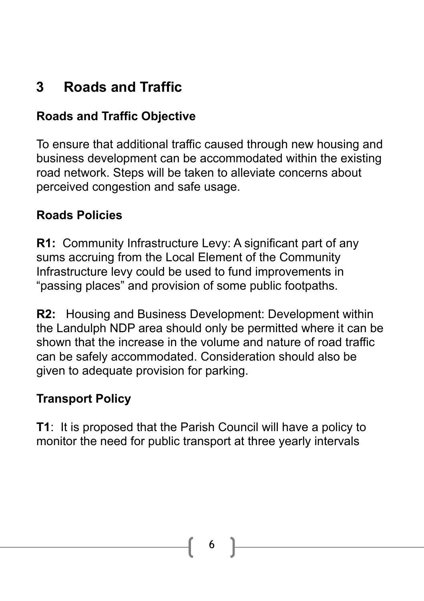## **3 Roads and Traffic**

### **Roads and Traffic Objective**

To ensure that additional traffic caused through new housing and business development can be accommodated within the existing road network. Steps will be taken to alleviate concerns about perceived congestion and safe usage.

#### **Roads Policies**

**R1:** Community Infrastructure Levy: A significant part of any sums accruing from the Local Element of the Community Infrastructure levy could be used to fund improvements in "passing places" and provision of some public footpaths.

**R2:** Housing and Business Development: Development within the Landulph NDP area should only be permitted where it can be shown that the increase in the volume and nature of road traffic can be safely accommodated. Consideration should also be given to adequate provision for parking.

### **Transport Policy**

**T1**: It is proposed that the Parish Council will have a policy to monitor the need for public transport at three yearly intervals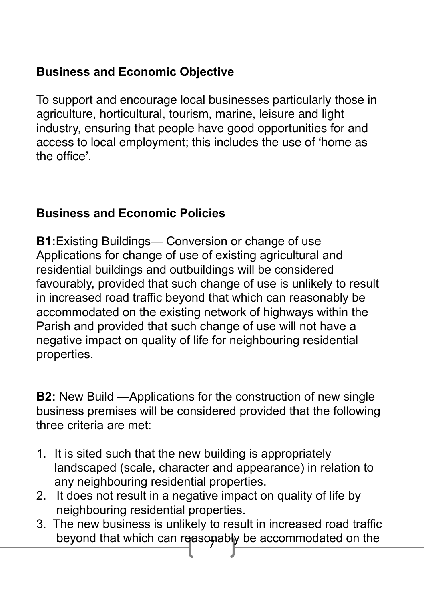### **Business and Economic Objective**

To support and encourage local businesses particularly those in agriculture, horticultural, tourism, marine, leisure and light industry, ensuring that people have good opportunities for and access to local employment; this includes the use of 'home as the office'.

#### **Business and Economic Policies**

**B1:**Existing Buildings— Conversion or change of use Applications for change of use of existing agricultural and residential buildings and outbuildings will be considered favourably, provided that such change of use is unlikely to result in increased road traffic beyond that which can reasonably be accommodated on the existing network of highways within the Parish and provided that such change of use will not have a negative impact on quality of life for neighbouring residential properties.

**B2:** New Build —Applications for the construction of new single business premises will be considered provided that the following three criteria are met:

- 1. It is sited such that the new building is appropriately landscaped (scale, character and appearance) in relation to any neighbouring residential properties.
- 2. It does not result in a negative impact on quality of life by neighbouring residential properties.
- beyond that which can reasonably be accommodated on the 3. The new business is unlikely to result in increased road traffic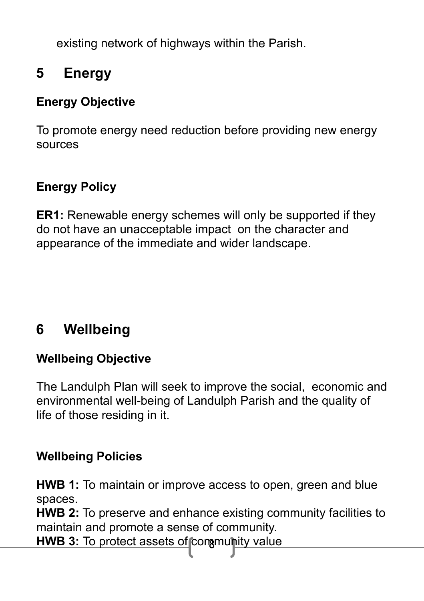existing network of highways within the Parish.

## **5 Energy**

#### **Energy Objective**

To promote energy need reduction before providing new energy sources

#### **Energy Policy**

**ER1:** Renewable energy schemes will only be supported if they do not have an unacceptable impact on the character and appearance of the immediate and wider landscape.

## **6 Wellbeing**

#### **Wellbeing Objective**

The Landulph Plan will seek to improve the social, economic and environmental well-being of Landulph Parish and the quality of life of those residing in it.

#### **Wellbeing Policies**

**HWB 1:** To maintain or improve access to open, green and blue spaces.

**HWB 2:** To preserve and enhance existing community facilities to maintain and promote a sense of community.

**HWB 3:** To protect assets of conamunity value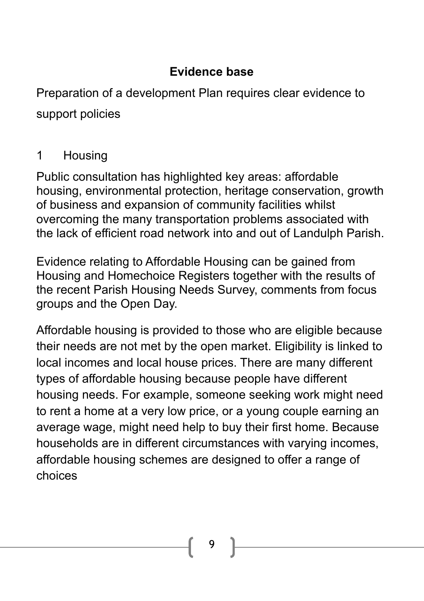#### **Evidence base**

Preparation of a development Plan requires clear evidence to support policies

#### 1 Housing

Public consultation has highlighted key areas: affordable housing, environmental protection, heritage conservation, growth of business and expansion of community facilities whilst overcoming the many transportation problems associated with the lack of efficient road network into and out of Landulph Parish.

Evidence relating to Affordable Housing can be gained from Housing and Homechoice Registers together with the results of the recent Parish Housing Needs Survey, comments from focus groups and the Open Day.

Affordable housing is provided to those who are eligible because their needs are not met by the open market. Eligibility is linked to local incomes and local house prices. There are many different types of affordable housing because people have different housing needs. For example, someone seeking work might need to rent a home at a very low price, or a young couple earning an average wage, might need help to buy their first home. Because households are in different circumstances with varying incomes, affordable housing schemes are designed to offer a range of choices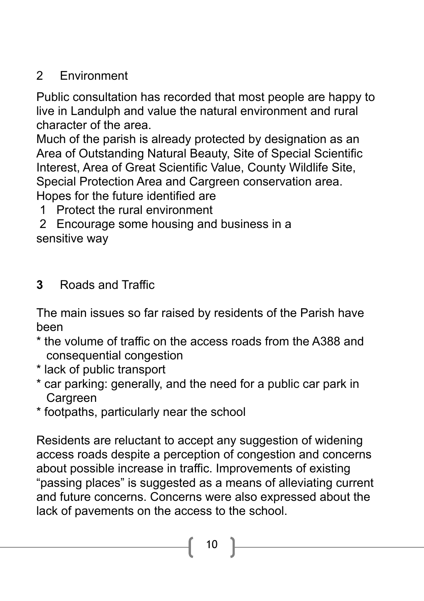## 2 Environment

Public consultation has recorded that most people are happy to live in Landulph and value the natural environment and rural character of the area.

Much of the parish is already protected by designation as an Area of Outstanding Natural Beauty, Site of Special Scientific Interest, Area of Great Scientific Value, County Wildlife Site, Special Protection Area and Cargreen conservation area. Hopes for the future identified are

1 Protect the rural environment

 2 Encourage some housing and business in a sensitive way

## **3** Roads and Traffic

The main issues so far raised by residents of the Parish have been

- \* the volume of traffic on the access roads from the A388 and consequential congestion
- \* lack of public transport
- \* car parking: generally, and the need for a public car park in Cargreen
- \* footpaths, particularly near the school

Residents are reluctant to accept any suggestion of widening access roads despite a perception of congestion and concerns about possible increase in traffic. Improvements of existing "passing places" is suggested as a means of alleviating current and future concerns. Concerns were also expressed about the lack of pavements on the access to the school.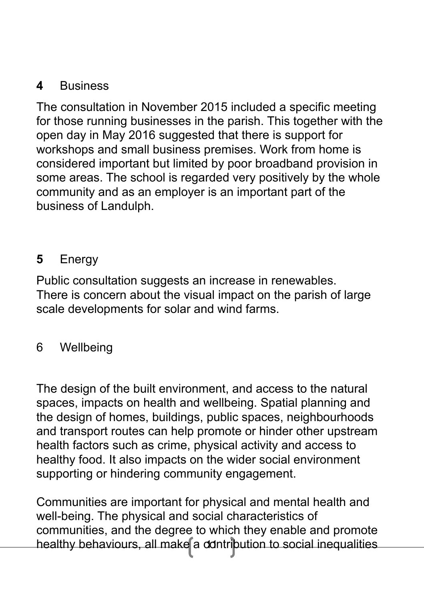#### **4** Business

The consultation in November 2015 included a specific meeting for those running businesses in the parish. This together with the open day in May 2016 suggested that there is support for workshops and small business premises. Work from home is considered important but limited by poor broadband provision in some areas. The school is regarded very positively by the whole community and as an employer is an important part of the business of Landulph.

## **5** Energy

Public consultation suggests an increase in renewables. There is concern about the visual impact on the parish of large scale developments for solar and wind farms.

#### 6 Wellbeing

The design of the built environment, and access to the natural spaces, impacts on health and wellbeing. Spatial planning and the design of homes, buildings, public spaces, neighbourhoods and transport routes can help promote or hinder other upstream health factors such as crime, physical activity and access to healthy food. It also impacts on the wider social environment supporting or hindering community engagement.

healthy behaviours, all make a dontribution to social inequalities Communities are important for physical and mental health and well-being. The physical and social characteristics of communities, and the degree to which they enable and promote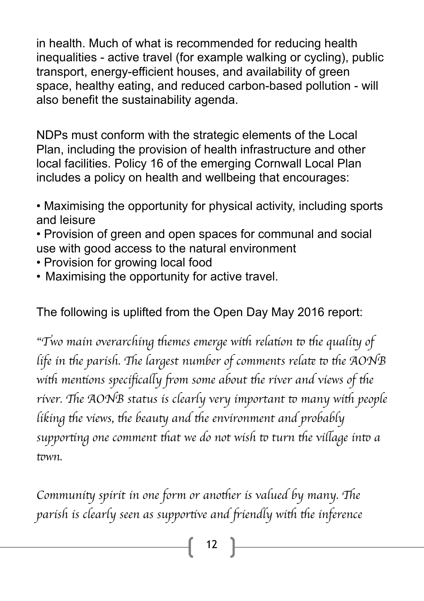in health. Much of what is recommended for reducing health inequalities - active travel (for example walking or cycling), public transport, energy-efficient houses, and availability of green space, healthy eating, and reduced carbon-based pollution - will also benefit the sustainability agenda.

NDPs must conform with the strategic elements of the Local Plan, including the provision of health infrastructure and other local facilities. Policy 16 of the emerging Cornwall Local Plan includes a policy on health and wellbeing that encourages:

• Maximising the opportunity for physical activity, including sports and leisure

• Provision of green and open spaces for communal and social use with good access to the natural environment

- Provision for growing local food
- Maximising the opportunity for active travel.

The following is uplifted from the Open Day May 2016 report:

"Two main overarching themes emerge with relation to the quality of *life in the parish. The largest number of comments relate to the AONB with mentions specifically from some about the river and views of the* river. The AONB status is clearly very important to many with people *liking the views, the beauty and the environment and probably supporting one comment that we do not wish to turn the village into a* t*wn.* 

*Community spirit in one form or another is valued by many. The parish is clearly seen as supportive and friendly with the inference*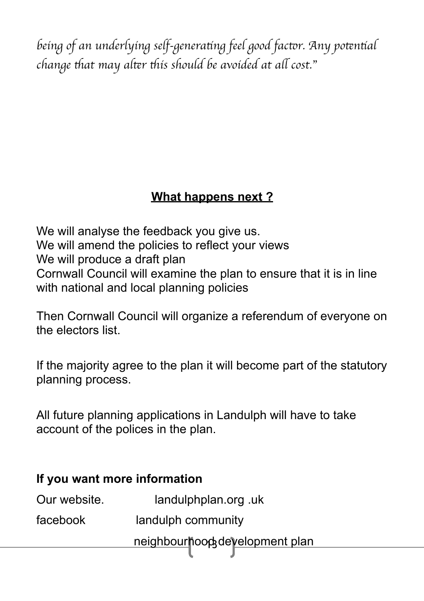*being of an underlying self-genera*t*ng feel good fac*t*r. Any po*t*n*t*al change* t*at may al*t*r* t*is should be avoided at a*l *cost.*"

## **What happens next ?**

We will analyse the feedback you give us. We will amend the policies to reflect your views We will produce a draft plan Cornwall Council will examine the plan to ensure that it is in line with national and local planning policies

Then Cornwall Council will organize a referendum of everyone on the electors list.

If the majority agree to the plan it will become part of the statutory planning process.

All future planning applications in Landulph will have to take account of the polices in the plan.

| If you want more information |                                |
|------------------------------|--------------------------------|
| Our website.                 | landulphplan.org.uk            |
| facebook                     | landulph community             |
|                              | neighbourhood development plan |
|                              |                                |